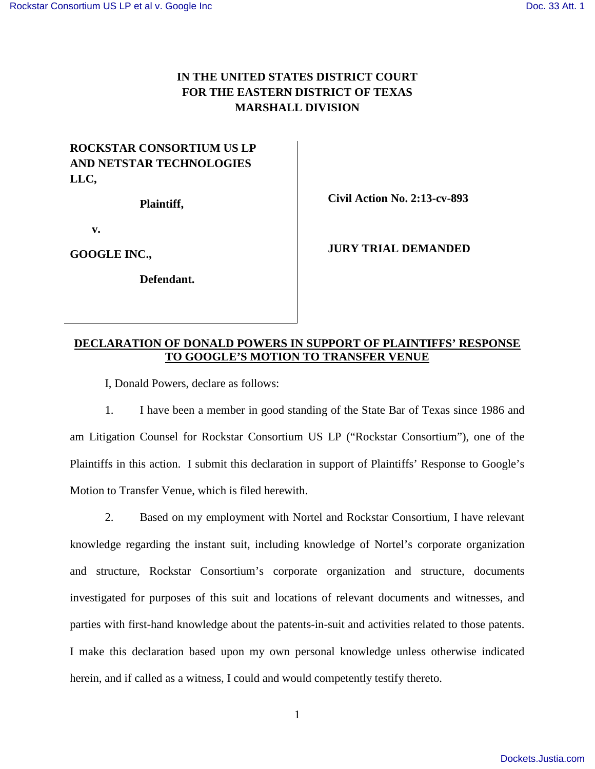## **IN THE UNITED STATES DISTRICT COURT FOR THE EASTERN DISTRICT OF TEXAS MARSHALL DIVISION**

## **ROCKSTAR CONSORTIUM US LP AND NETSTAR TECHNOLOGIES LLC,**

**Plaintiff,**

**v.**

**GOOGLE INC.,**

**Defendant.**

**Civil Action No. 2:13-cv-893**

**JURY TRIAL DEMANDED**

## **DECLARATION OF DONALD POWERS IN SUPPORT OF PLAINTIFFS' RESPONSE TO GOOGLE'S MOTION TO TRANSFER VENUE**

I, Donald Powers, declare as follows:

1. I have been a member in good standing of the State Bar of Texas since 1986 and am Litigation Counsel for Rockstar Consortium US LP ("Rockstar Consortium"), one of the Plaintiffs in this action. I submit this declaration in support of Plaintiffs' Response to Google's Motion to Transfer Venue, which is filed herewith.

2. Based on my employment with Nortel and Rockstar Consortium, I have relevant knowledge regarding the instant suit, including knowledge of Nortel's corporate organization and structure, Rockstar Consortium's corporate organization and structure, documents investigated for purposes of this suit and locations of relevant documents and witnesses, and parties with first-hand knowledge about the patents-in-suit and activities related to those patents. I make this declaration based upon my own personal knowledge unless otherwise indicated herein, and if called as a witness, I could and would competently testify thereto.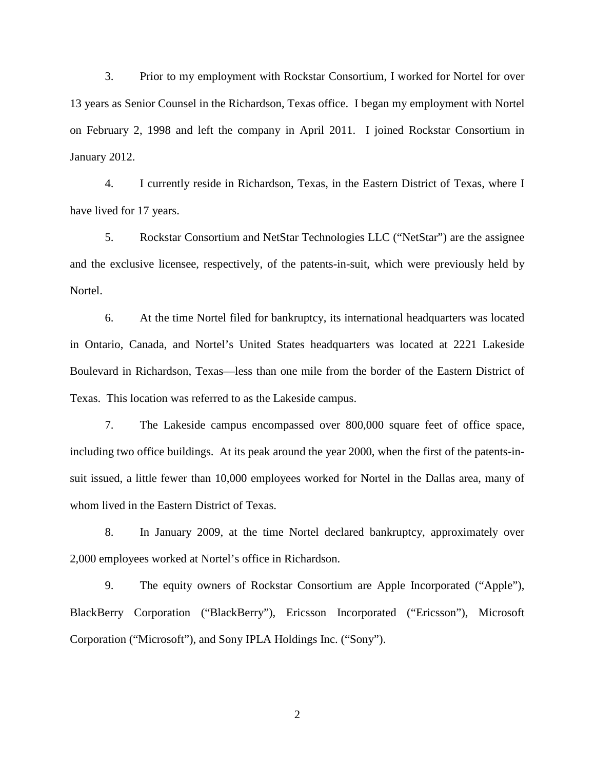3. Prior to my employment with Rockstar Consortium, I worked for Nortel for over 13 years as Senior Counsel in the Richardson, Texas office. I began my employment with Nortel on February 2, 1998 and left the company in April 2011. I joined Rockstar Consortium in January 2012.

4. I currently reside in Richardson, Texas, in the Eastern District of Texas, where I have lived for 17 years.

5. Rockstar Consortium and NetStar Technologies LLC ("NetStar") are the assignee and the exclusive licensee, respectively, of the patents-in-suit, which were previously held by Nortel.

6. At the time Nortel filed for bankruptcy, its international headquarters was located in Ontario, Canada, and Nortel's United States headquarters was located at 2221 Lakeside Boulevard in Richardson, Texas—less than one mile from the border of the Eastern District of Texas. This location was referred to as the Lakeside campus.

7. The Lakeside campus encompassed over 800,000 square feet of office space, including two office buildings. At its peak around the year 2000, when the first of the patents-insuit issued, a little fewer than 10,000 employees worked for Nortel in the Dallas area, many of whom lived in the Eastern District of Texas.

8. In January 2009, at the time Nortel declared bankruptcy, approximately over 2,000 employees worked at Nortel's office in Richardson.

9. The equity owners of Rockstar Consortium are Apple Incorporated ("Apple"), BlackBerry Corporation ("BlackBerry"), Ericsson Incorporated ("Ericsson"), Microsoft Corporation ("Microsoft"), and Sony IPLA Holdings Inc. ("Sony").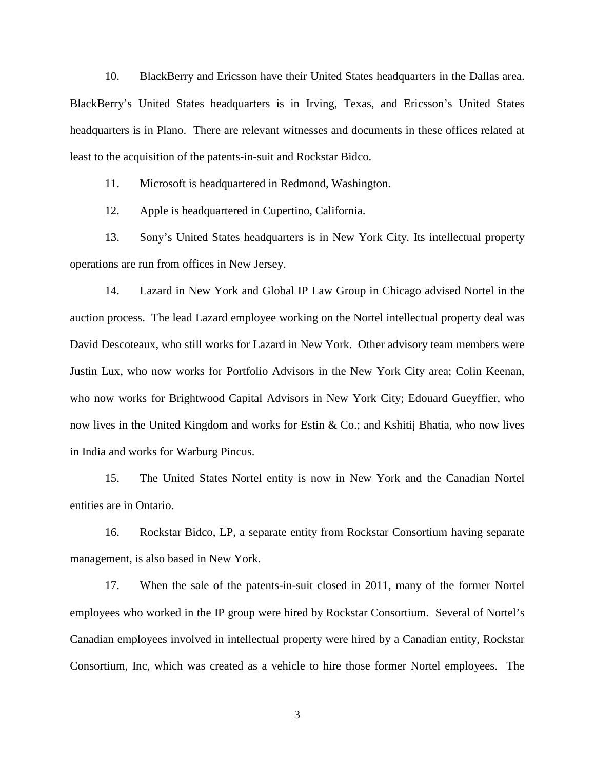10. BlackBerry and Ericsson have their United States headquarters in the Dallas area. BlackBerry's United States headquarters is in Irving, Texas, and Ericsson's United States headquarters is in Plano. There are relevant witnesses and documents in these offices related at least to the acquisition of the patents-in-suit and Rockstar Bidco.

11. Microsoft is headquartered in Redmond, Washington.

12. Apple is headquartered in Cupertino, California.

13. Sony's United States headquarters is in New York City. Its intellectual property operations are run from offices in New Jersey.

14. Lazard in New York and Global IP Law Group in Chicago advised Nortel in the auction process. The lead Lazard employee working on the Nortel intellectual property deal was David Descoteaux, who still works for Lazard in New York. Other advisory team members were Justin Lux, who now works for Portfolio Advisors in the New York City area; Colin Keenan, who now works for Brightwood Capital Advisors in New York City; Edouard Gueyffier, who now lives in the United Kingdom and works for Estin & Co.; and Kshitij Bhatia, who now lives in India and works for Warburg Pincus.

15. The United States Nortel entity is now in New York and the Canadian Nortel entities are in Ontario.

16. Rockstar Bidco, LP, a separate entity from Rockstar Consortium having separate management, is also based in New York.

17. When the sale of the patents-in-suit closed in 2011, many of the former Nortel employees who worked in the IP group were hired by Rockstar Consortium. Several of Nortel's Canadian employees involved in intellectual property were hired by a Canadian entity, Rockstar Consortium, Inc, which was created as a vehicle to hire those former Nortel employees. The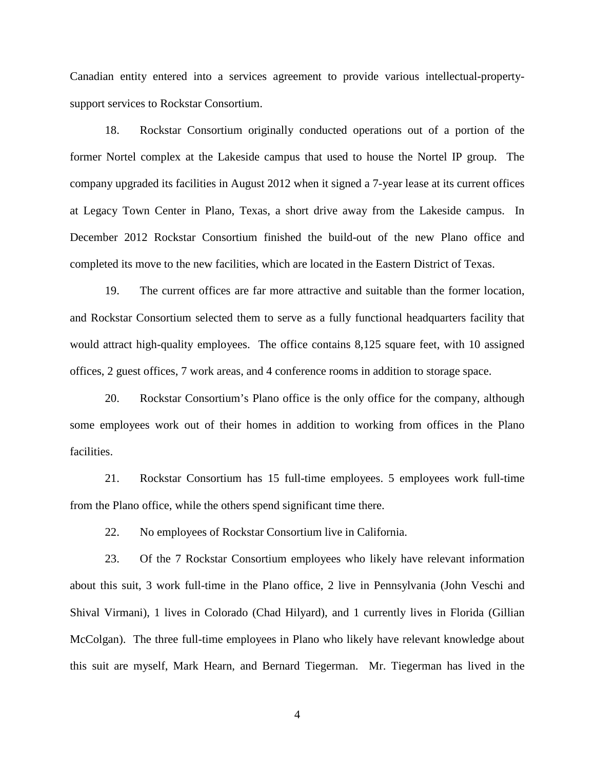Canadian entity entered into a services agreement to provide various intellectual-propertysupport services to Rockstar Consortium.

18. Rockstar Consortium originally conducted operations out of a portion of the former Nortel complex at the Lakeside campus that used to house the Nortel IP group. The company upgraded its facilities in August 2012 when it signed a 7-year lease at its current offices at Legacy Town Center in Plano, Texas, a short drive away from the Lakeside campus. In December 2012 Rockstar Consortium finished the build-out of the new Plano office and completed its move to the new facilities, which are located in the Eastern District of Texas.

19. The current offices are far more attractive and suitable than the former location, and Rockstar Consortium selected them to serve as a fully functional headquarters facility that would attract high-quality employees. The office contains 8,125 square feet, with 10 assigned offices, 2 guest offices, 7 work areas, and 4 conference rooms in addition to storage space.

20. Rockstar Consortium's Plano office is the only office for the company, although some employees work out of their homes in addition to working from offices in the Plano facilities.

21. Rockstar Consortium has 15 full-time employees. 5 employees work full-time from the Plano office, while the others spend significant time there.

22. No employees of Rockstar Consortium live in California.

23. Of the 7 Rockstar Consortium employees who likely have relevant information about this suit, 3 work full-time in the Plano office, 2 live in Pennsylvania (John Veschi and Shival Virmani), 1 lives in Colorado (Chad Hilyard), and 1 currently lives in Florida (Gillian McColgan). The three full-time employees in Plano who likely have relevant knowledge about this suit are myself, Mark Hearn, and Bernard Tiegerman. Mr. Tiegerman has lived in the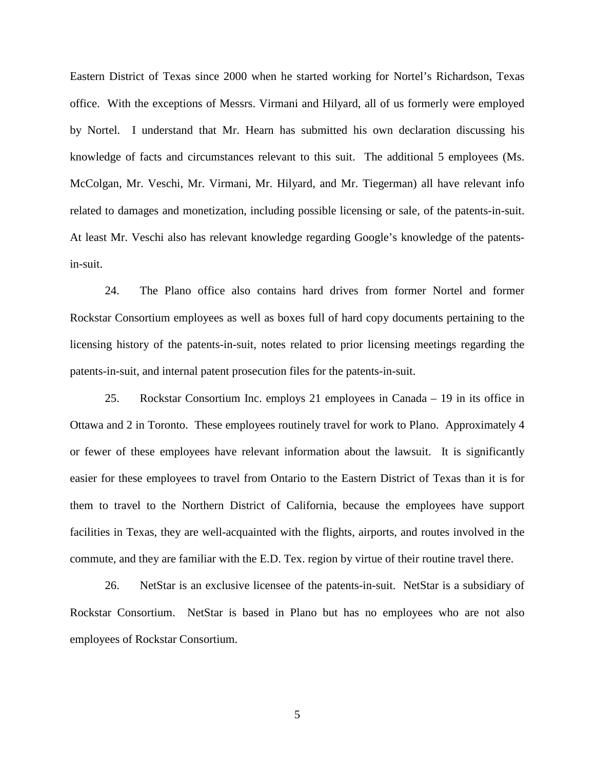Eastern District of Texas since 2000 when he started working for Nortel's Richardson, Texas office. With the exceptions of Messrs. Virmani and Hilyard, all of us formerly were employed by Nortel. I understand that Mr. Hearn has submitted his own declaration discussing his knowledge of facts and circumstances relevant to this suit. The additional 5 employees (Ms. McColgan, Mr. Veschi, Mr. Virmani, Mr. Hilyard, and Mr. Tiegerman) all have relevant info related to damages and monetization, including possible licensing or sale, of the patents-in-suit. At least Mr. Veschi also has relevant knowledge regarding Google's knowledge of the patentsin-suit.

24. The Plano office also contains hard drives from former Nortel and former Rockstar Consortium employees as well as boxes full of hard copy documents pertaining to the licensing history of the patents-in-suit, notes related to prior licensing meetings regarding the patents-in-suit, and internal patent prosecution files for the patents-in-suit.

25. Rockstar Consortium Inc. employs 21 employees in Canada – 19 in its office in Ottawa and 2 in Toronto. These employees routinely travel for work to Plano. Approximately 4 or fewer of these employees have relevant information about the lawsuit. It is significantly easier for these employees to travel from Ontario to the Eastern District of Texas than it is for them to travel to the Northern District of California, because the employees have support facilities in Texas, they are well-acquainted with the flights, airports, and routes involved in the commute, and they are familiar with the E.D. Tex. region by virtue of their routine travel there.

26. NetStar is an exclusive licensee of the patents-in-suit. NetStar is a subsidiary of Rockstar Consortium. NetStar is based in Plano but has no employees who are not also employees of Rockstar Consortium.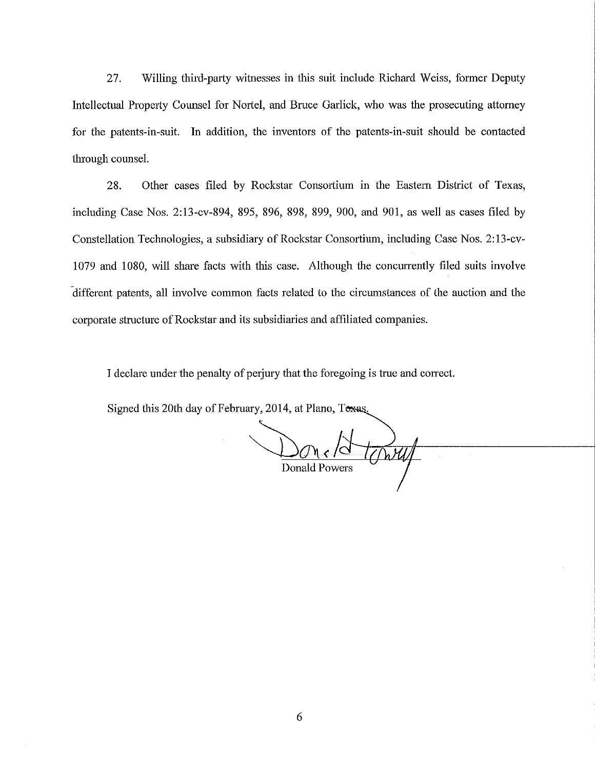27. Willing third-party witnesses in this suit include Richard Weiss, former Deputy Intellectual Property Counsel for Nortel, and Bruce Garlick, who was the prosecuting attorney for the patents-in-suit. In addition, the inventors of the patents-in-suit should be contacted through counsel.

28. Other cases filed by Rockstar Consortium in the Eastern District of Texas, including Case Nos. 2:13-cv-894, 895, 896, 898, 899, 900, and 901, as well as cases filed by Constellation Technologies, a subsidiary of Rockstar Consortium, including Case Nos. 2: 13-cv-1079 and 1080, will share facts with this case. Although the concurrently filed suits involve -different patents, all involve common facts related to the circumstances of the auction and the corporate structure of Rockstar and its subsidiaries and affiliated companies.

I declare under the penalty of perjury that the foregoing is true and correct.

Signed this 20th day of February, 2014, at Plano, Toxas.

towy Donald Powers